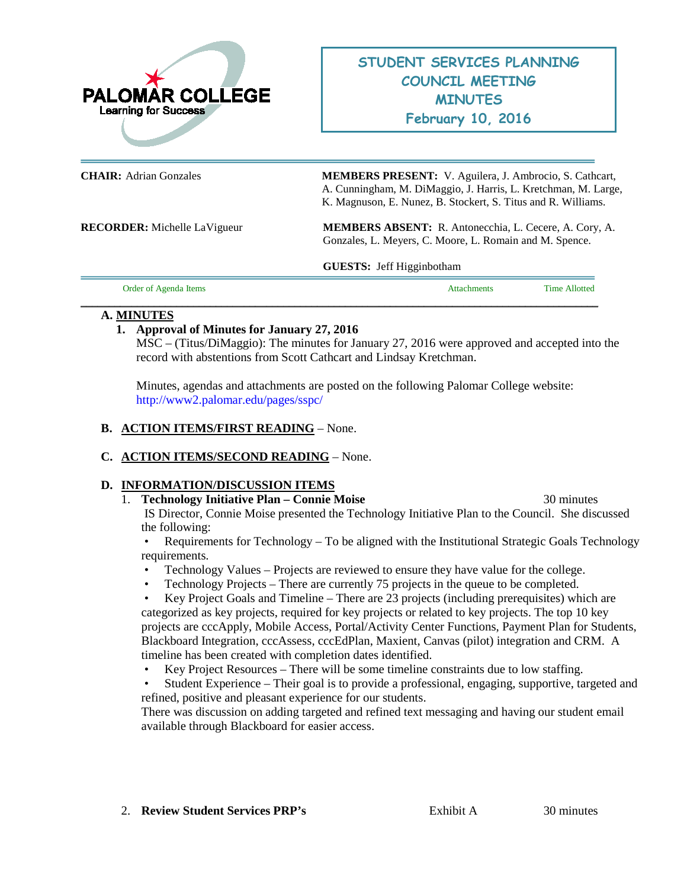

**CHAIR:** Adrian Gonzales **MEMBERS PRESENT:** V. Aguilera, J. Ambrocio, S. Cathcart, A. Cunningham, M. DiMaggio, J. Harris, L. Kretchman, M. Large, K. Magnuson, E. Nunez, B. Stockert, S. Titus and R. Williams.

**RECORDER:** Michelle LaVigueur **MEMBERS ABSENT:** R. Antonecchia, L. Cecere, A. Cory, A. Gonzales, L. Meyers, C. Moore, L. Romain and M. Spence.

**GUESTS:** Jeff Higginbotham

| Order of Agenda Items | tachments | <b>Time Allotted</b> |
|-----------------------|-----------|----------------------|
|                       |           |                      |

### **A. MINUTES**

# **1. Approval of Minutes for January 27, 2016**

MSC – (Titus/DiMaggio): The minutes for January 27, 2016 were approved and accepted into the record with abstentions from Scott Cathcart and Lindsay Kretchman.

Minutes, agendas and attachments are posted on the following Palomar College website: <http://www2.palomar.edu/pages/sspc/>

### **B. ACTION ITEMS/FIRST READING** – None.

# **C. ACTION ITEMS/SECOND READING** – None.

### **D. INFORMATION/DISCUSSION ITEMS**

### 1. **Technology Initiative Plan – Connie Moise** 30 minutes

IS Director, Connie Moise presented the Technology Initiative Plan to the Council. She discussed the following:

• Requirements for Technology – To be aligned with the Institutional Strategic Goals Technology requirements.

- Technology Values Projects are reviewed to ensure they have value for the college.
- Technology Projects There are currently 75 projects in the queue to be completed.

• Key Project Goals and Timeline – There are 23 projects (including prerequisites) which are categorized as key projects, required for key projects or related to key projects. The top 10 key projects are cccApply, Mobile Access, Portal/Activity Center Functions, Payment Plan for Students, Blackboard Integration, cccAssess, cccEdPlan, Maxient, Canvas (pilot) integration and CRM. A timeline has been created with completion dates identified.

- Key Project Resources There will be some timeline constraints due to low staffing.
- Student Experience Their goal is to provide a professional, engaging, supportive, targeted and refined, positive and pleasant experience for our students.

There was discussion on adding targeted and refined text messaging and having our student email available through Blackboard for easier access.

2. **Review Student Services PRP's** Exhibit A 30 minutes